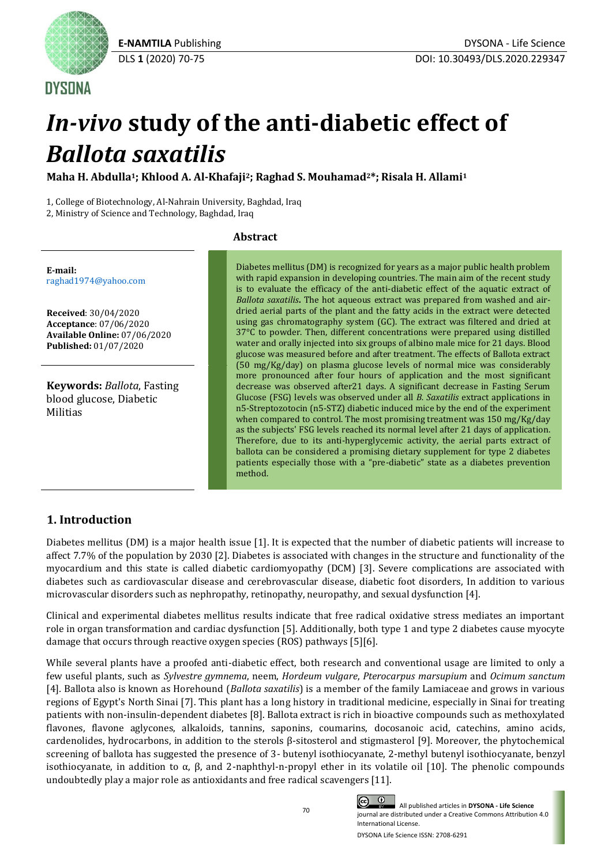

**DYSONA** 

# *In-vivo* **study of the anti-diabetic effect of** *Ballota saxatilis*

**Maha H. Abdulla1; Khlood A. Al-Khafaji2; Raghad S. Mouhamad2\*; Risala H. Allami<sup>1</sup>**

1, College of Biotechnology, Al-Nahrain University, Baghdad, Iraq

2, Ministry of Science and Technology, Baghdad, Iraq

#### **Abstract**

**E-mail:** [raghad1974@yahoo.com](mailto:raghad1974@yahoo.com)

**Received**: 30/04/2020 **Acceptance**: 07/06/2020 **Available Online:** 07/06/2020 **Published:** 01/07/2020

**Keywords:** *Ballota*, Fasting blood glucose, Diabetic Militias

Diabetes mellitus (DM) is recognized for years as a major public health problem with rapid expansion in developing countries. The main aim of the recent study is to evaluate the efficacy of the anti-diabetic effect of the aquatic extract of *Ballota saxatilis***.** The hot aqueous extract was prepared from washed and airdried aerial parts of the plant and the fatty acids in the extract were detected using gas chromatography system (GC). The extract was filtered and dried at 37°C to powder. Then, different concentrations were prepared using distilled water and orally injected into six groups of albino male mice for 21 days. Blood glucose was measured before and after treatment. The effects of Ballota extract (50 mg/Kg/day) on plasma glucose levels of normal mice was considerably more pronounced after four hours of application and the most significant decrease was observed after21 days. A significant decrease in Fasting Serum Glucose (FSG) levels was observed under all *B. Saxatilis* extract applications in n5-Streptozotocin (n5-STZ) diabetic induced mice by the end of the experiment when compared to control. The most promising treatment was 150 mg/Kg/day as the subjects' FSG levels reached its normal level after 21 days of application. Therefore, due to its anti-hyperglycemic activity, the aerial parts extract of ballota can be considered a promising dietary supplement for type 2 diabetes patients especially those with a "pre-diabetic" state as a diabetes prevention method.

# **1. Introduction**

Diabetes mellitus (DM) is a major health issue [1]. It is expected that the number of diabetic patients will increase to affect 7.7% of the population by 2030 [2]. Diabetes is associated with changes in the structure and functionality of the myocardium and this state is called diabetic cardiomyopathy (DCM) [3]. Severe complications are associated with diabetes such as cardiovascular disease and cerebrovascular disease, diabetic foot disorders, In addition to various microvascular disorders such as nephropathy, retinopathy, neuropathy, and sexual dysfunction [4].

Clinical and experimental diabetes mellitus results indicate that free radical oxidative stress mediates an important role in organ transformation and cardiac dysfunction [5]. Additionally, both type 1 and type 2 diabetes cause myocyte damage that occurs through reactive oxygen species (ROS) pathways [5][6].

While several plants have a proofed anti-diabetic effect, both research and conventional usage are limited to only a few useful plants, such as *Sylvestre gymnema*, neem, *Hordeum vulgare*, *Pterocarpus marsupium* and *Ocimum sanctum* [4]*.* Ballota also is known as Horehound (*Ballota saxatilis*) is a member of the family Lamiaceae and grows in various regions of Egypt's North Sinai [7]. This plant has a long history in traditional medicine, especially in Sinai for treating patients with non-insulin-dependent diabetes [8]. Ballota extract is rich in bioactive compounds such as methoxylated flavones, flavone aglycones, alkaloids, tannins, saponins, coumarins, docosanoic acid, catechins, amino acids, cardenolides, hydrocarbons, in addition to the sterols β-sitosterol and stigmasterol [9]. Moreover, the phytochemical screening of ballota has suggested the presence of 3- butenyl isothiocyanate, 2-methyl butenyl isothiocyanate, benzyl isothiocyanate, in addition to α, β, and 2-naphthyl-n-propyl ether in its volatile oil [10]. The phenolic compounds undoubtedly play a major role as antioxidants and free radical scavengers [11].

 All published articles in **DYSONA - Life Science** journal are distributed under a Creative Commons Attribution 4.0 International License.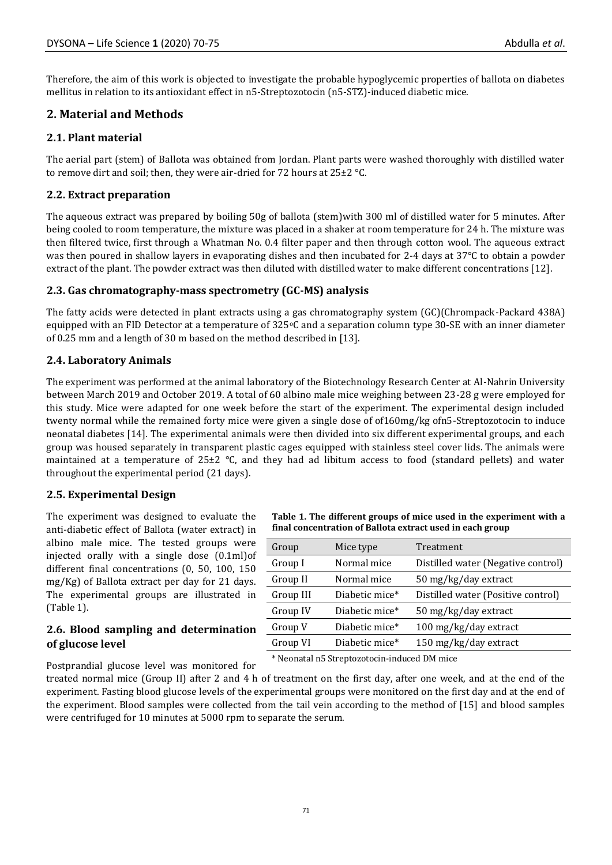Therefore, the aim of this work is objected to investigate the probable hypoglycemic properties of ballota on diabetes mellitus in relation to its antioxidant effect in n5-Streptozotocin (n5-STZ)-induced diabetic mice.

## **2. Material and Methods**

### **2.1. Plant material**

The aerial part (stem) of Ballota was obtained from Jordan. Plant parts were washed thoroughly with distilled water to remove dirt and soil; then, they were air-dried for 72 hours at  $25\pm2$  °C.

### **2.2. Extract preparation**

The aqueous extract was prepared by boiling 50g of ballota (stem)with 300 ml of distilled water for 5 minutes. After being cooled to room temperature, the mixture was placed in a shaker at room temperature for 24 h. The mixture was then filtered twice, first through a Whatman No. 0.4 filter paper and then through cotton wool. The aqueous extract was then poured in shallow layers in evaporating dishes and then incubated for 2-4 days at 37°C to obtain a powder extract of the plant. The powder extract was then diluted with distilled water to make different concentrations [12].

### **2.3. Gas chromatography-mass spectrometry (GC-MS) analysis**

The fatty acids were detected in plant extracts using a gas chromatography system (GC)(Chrompack-Packard 438A) equipped with an FID Detector at a temperature of  $325\textdegree$ C and a separation column type  $30\textdegree$ SE with an inner diameter of 0.25 mm and a length of 30 m based on the method described in [13].

### **2.4. Laboratory Animals**

The experiment was performed at the animal laboratory of the Biotechnology Research Center at Al-Nahrin University between March 2019 and October 2019. A total of 60 albino male mice weighing between 23-28 g were employed for this study. Mice were adapted for one week before the start of the experiment. The experimental design included twenty normal while the remained forty mice were given a single dose of of160mg/kg ofn5-Streptozotocin to induce neonatal diabetes [14]. The experimental animals were then divided into six different experimental groups, and each group was housed separately in transparent plastic cages equipped with stainless steel cover lids. The animals were maintained at a temperature of 25±2 °C, and they had ad libitum access to food (standard pellets) and water throughout the experimental period (21 days).

### **2.5. Experimental Design**

The experiment was designed to evaluate the anti-diabetic effect of Ballota (water extract) in albino male mice. The tested groups were injected orally with a single dose (0.1ml)of different final concentrations (0, 50, 100, 150 mg/Kg) of Ballota extract per day for 21 days. The experimental groups are illustrated in (Table 1).

#### **2.6. Blood sampling and determination of glucose level**

**Table 1. The different groups of mice used in the experiment with a final concentration of Ballota extract used in each group**

| Group                                        | Mice type      | Treatment                          |  |  |
|----------------------------------------------|----------------|------------------------------------|--|--|
| Group I                                      | Normal mice    | Distilled water (Negative control) |  |  |
| Group II                                     | Normal mice    | 50 mg/kg/day extract               |  |  |
| Group III                                    | Diabetic mice* | Distilled water (Positive control) |  |  |
| Group IV                                     | Diabetic mice* | 50 mg/kg/day extract               |  |  |
| Group V                                      | Diabetic mice* | 100 mg/kg/day extract              |  |  |
| Group VI                                     | Diabetic mice* | 150 mg/kg/day extract              |  |  |
| * Neonatal n5 Streptozotocin-induced DM mice |                |                                    |  |  |

Postprandial glucose level was monitored for

treated normal mice (Group II) after 2 and 4 h of treatment on the first day, after one week, and at the end of the experiment. Fasting blood glucose levels of the experimental groups were monitored on the first day and at the end of the experiment. Blood samples were collected from the tail vein according to the method of [15] and blood samples were centrifuged for 10 minutes at 5000 rpm to separate the serum.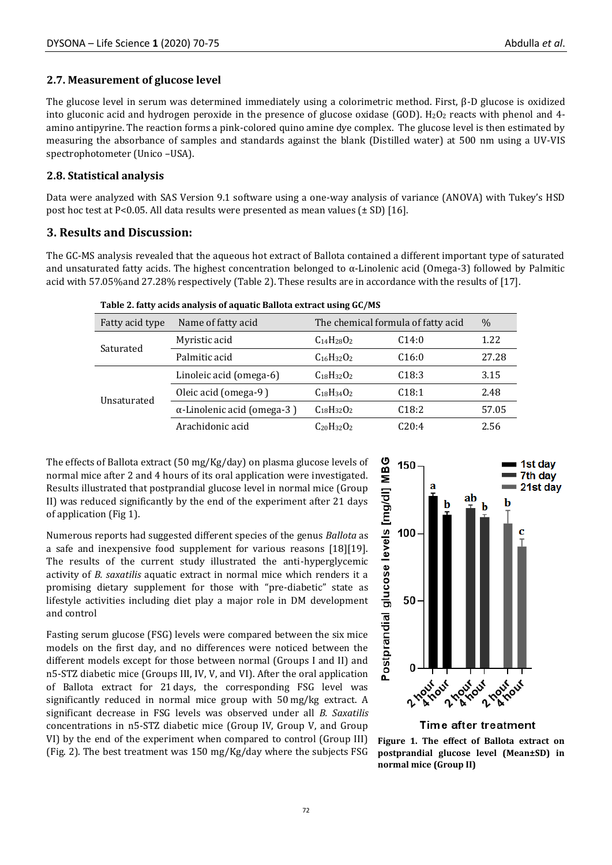#### **2.7. Measurement of glucose level**

The glucose level in serum was determined immediately using a colorimetric method. First, β-D glucose is oxidized into gluconic acid and hydrogen peroxide in the presence of glucose oxidase (GOD).  $H_2O_2$  reacts with phenol and 4amino antipyrine. The reaction forms a pink-colored quino amine dye complex. The glucose level is then estimated by measuring the absorbance of samples and standards against the blank (Distilled water) at 500 nm using a UV-VIS spectrophotometer (Unico –USA).

#### **2.8. Statistical analysis**

Data were analyzed with SAS Version 9.1 software using a one-way analysis of variance (ANOVA) with Tukey's HSD post hoc test at P<0.05. All data results were presented as mean values  $(\pm SD)$  [16].

### **3. Results and Discussion:**

The GC-MS analysis revealed that the aqueous hot extract of Ballota contained a different important type of saturated and unsaturated fatty acids. The highest concentration belonged to  $\alpha$ -Linolenic acid (Omega-3) followed by Palmitic acid with 57.05%and 27.28% respectively (Table 2). These results are in accordance with the results of [17].

| Fatty acid type | Name of fatty acid                 | The chemical formula of fatty acid |                   | $\%$  |
|-----------------|------------------------------------|------------------------------------|-------------------|-------|
| Saturated       | Myristic acid                      | $C_{14}H_{28}O_2$                  | C14:0             | 1.22  |
|                 | Palmitic acid                      | $C_{16}H_{32}O_2$                  | C16:0             | 27.28 |
| Unsaturated     | Linoleic acid (omega-6)            | $C_{18}H_{32}O_2$                  | C <sub>18:3</sub> | 3.15  |
|                 | Oleic acid (omega-9)               | $C_{18}H_{34}O_2$                  | C18:1             | 2.48  |
|                 | $\alpha$ -Linolenic acid (omega-3) | $C_{18}H_{32}O_2$                  | C18:2             | 57.05 |
|                 | Arachidonic acid                   | $C_{20}H_{32}O_2$                  | C20:4             | 2.56  |

**Table 2. fatty acids analysis of aquatic Ballota extract using GC/MS**

The effects of Ballota extract (50 mg/Kg/day) on plasma glucose levels of normal mice after 2 and 4 hours of its oral application were investigated. Results illustrated that postprandial glucose level in normal mice (Group II) was reduced significantly by the end of the experiment after 21 days of application (Fig 1).

Numerous reports had suggested different species of the genus *Ballota* as a safe and inexpensive food supplement for various reasons [18][19]. The results of the current study illustrated the anti-hyperglycemic activity of *B. saxatilis* aquatic extract in normal mice which renders it a promising dietary supplement for those with "pre-diabetic" state as lifestyle activities including diet play a major role in DM development and control

Fasting serum glucose (FSG) levels were compared between the six mice models on the first day, and no differences were noticed between the different models except for those between normal (Groups I and II) and n5-STZ diabetic mice (Groups III, IV, V, and VI). After the oral application of Ballota extract for 21 days, the corresponding FSG level was significantly reduced in normal mice group with 50 mg/kg extract. A significant decrease in FSG levels was observed under all *B. Saxatilis*  concentrations in n5-STZ diabetic mice (Group IV, Group V, and Group VI) by the end of the experiment when compared to control (Group III) (Fig. 2). The best treatment was 150 mg/Kg/day where the subjects FSG



#### Time after treatment

**Figure 1. The effect of Ballota extract on postprandial glucose level (Mean±SD) in normal mice (Group II)**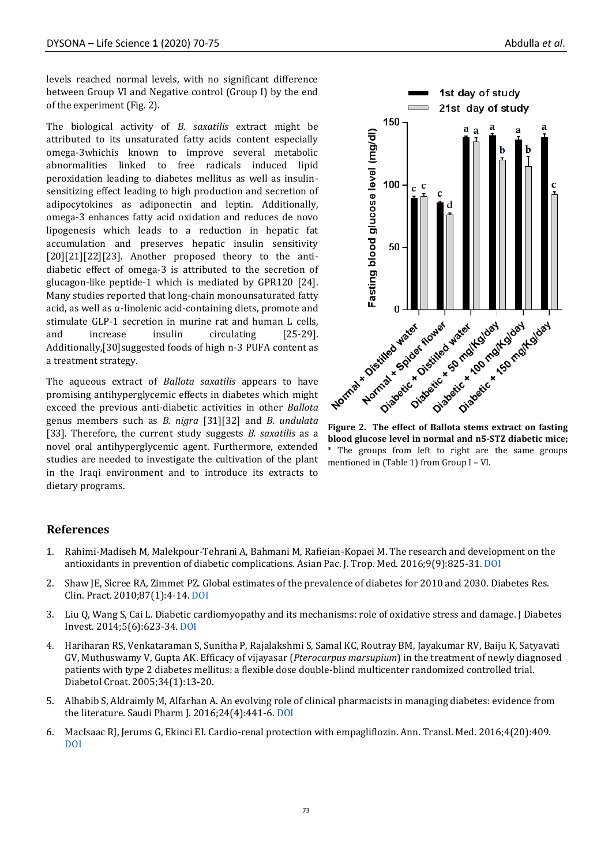levels reached normal levels, with no significant difference between Group VI and Negative control (Group I) by the end of the experiment (Fig. 2).

The biological activity of *B. saxatilis* extract might be attributed to its unsaturated fatty acids content especially omega-3whichis known to improve several metabolic abnormalities linked to free radicals induced lipid peroxidation leading to diabetes mellitus as well as insulinsensitizing effect leading to high production and secretion of adipocytokines as adiponectin and leptin. Additionally, omega-3 enhances fatty acid oxidation and reduces de novo lipogenesis which leads to a reduction in hepatic fat accumulation and preserves hepatic insulin sensitivity [20][21][22][23]. Another proposed theory to the antidiabetic effect of omega-3 is attributed to the secretion of glucagon-like peptide-1 which is mediated by GPR120 [24]. Many studies reported that long-chain monounsaturated fatty acid, as well as α-linolenic acid-containing diets, promote and stimulate GLP-1 secretion in murine rat and human L cells, and increase insulin circulating [25-29]. Additionally,[30]suggested foods of high n-3 PUFA content as a treatment strategy.

The aqueous extract of *Ballota saxatilis* appears to have promising antihyperglycemic effects in diabetes which might exceed the previous anti-diabetic activities in other *Ballota* genus members such as *B. nigra* [31][32] and *B. undulata* [33]. Therefore, the current study suggests *B. saxatilis* as a novel oral antihyperglycemic agent. Furthermore, extended studies are needed to investigate the cultivation of the plant in the Iraqi environment and to introduce its extracts to dietary programs.



**blood glucose level in normal and n5-STZ diabetic mice;**  The groups from left to right are the same groups mentioned in (Table 1) from Group I – VI.

### **References**

- 1. Rahimi-Madiseh M, Malekpour-Tehrani A, Bahmani M, Rafieian-Kopaei M. The research and development on the antioxidants in prevention of diabetic complications. Asian Pac. J. Trop. Med. 2016;9(9):825-31[. DOI](https://doi.org/10.1016/j.apjtm.2016.07.001)
- 2. Shaw JE, Sicree RA, Zimmet PZ. Global estimates of the prevalence of diabetes for 2010 and 2030. Diabetes Res. Clin. Pract. 2010;87(1):4-14. [DOI](https://doi.org/10.1016/j.diabres.2009.10.007)
- 3. Liu Q, Wang S, Cai L. Diabetic cardiomyopathy and its mechanisms: role of oxidative stress and damage. J Diabetes Invest. 2014;5(6):623-34[. DOI](https://doi.org/10.1111/jdi.12250)
- 4. Hariharan RS, Venkataraman S, Sunitha P, Rajalakshmi S, Samal KC, Routray BM, Jayakumar RV, Baiju K, Satyavati GV, Muthuswamy V, Gupta AK. Efficacy of vijayasar (*Pterocarpus marsupium*) in the treatment of newly diagnosed patients with type 2 diabetes mellitus: a flexible dose double-blind multicenter randomized controlled trial. Diabetol Croat. 2005;34(1):13-20.
- 5. Alhabib S, Aldraimly M, Alfarhan A. An evolving role of clinical pharmacists in managing diabetes: evidence from the literature. Saudi Pharm J. 2016;24(4):441-6[. DOI](https://doi.org/10.1016/j.jsps.2014.07.008)
- 6. MacIsaac RJ, Jerums G, Ekinci EI. Cardio-renal protection with empagliflozin. Ann. Transl. Med. 2016;4(20):409. [DOI](https://dx.doi.org/10.21037%2Fatm.2016.10.36)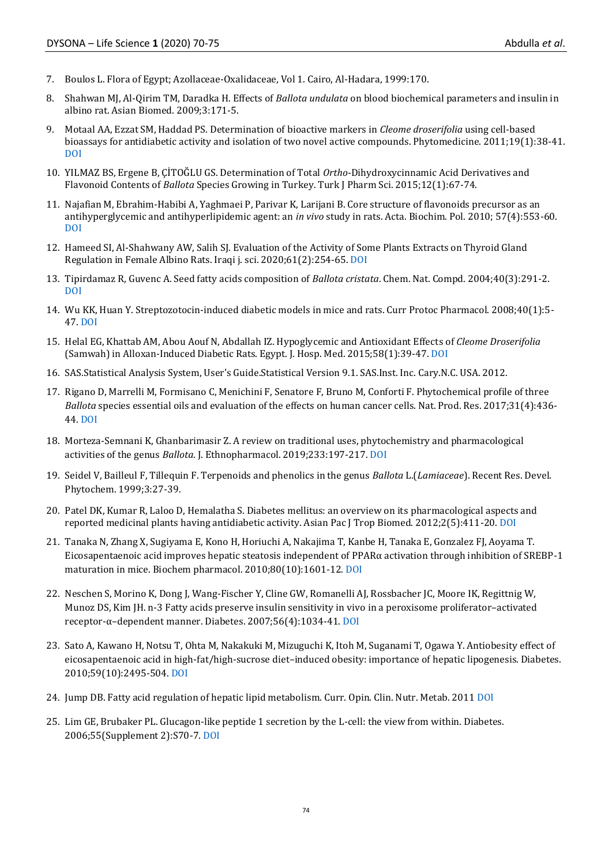- 7. Boulos L. Flora of Egypt; Azollaceae-Oxalidaceae, Vol 1. Cairo, Al-Hadara, 1999:170.
- 8. Shahwan MJ, Al-Qirim TM, Daradka H. Effects of *Ballota undulata* on blood biochemical parameters and insulin in albino rat. Asian Biomed. 2009;3:171-5.
- 9. Motaal AA, Ezzat SM, Haddad PS. Determination of bioactive markers in *Cleome droserifolia* using cell-based bioassays for antidiabetic activity and isolation of two novel active compounds. Phytomedicine. 2011;19(1):38-41. [DOI](https://doi.org/10.1016/j.phymed.2011.07.003)
- 10. YILMAZ BS, Ergene B, ÇİTOĞLU GS. Determination of Total *Ortho*-Dihydroxycinnamic Acid Derivatives and Flavonoid Contents of *Ballota* Species Growing in Turkey. Turk J Pharm Sci. 2015;12(1):67-74.
- 11. Najafian M, Ebrahim-Habibi A, Yaghmaei P, Parivar K, Larijani B. Core structure of flavonoids precursor as an antihyperglycemic and antihyperlipidemic agent: an *in vivo* study in rats. Acta. Biochim. Pol. 2010; 57(4):553-60. [DOI](https://doi.org/10.18388/abp.2010_2443)
- 12. Hameed SI, Al-Shahwany AW, Salih SJ. Evaluation of the Activity of Some Plants Extracts on Thyroid Gland Regulation in Female Albino Rats. Iraqi j. sci. 2020;61(2):254-65[. DOI](https://doi.org/10.24996/ijs.2020.61.2.3)
- 13. Tipirdamaz R, Guvenc A. Seed fatty acids composition of *Ballota cristata*. Chem. Nat. Compd. 2004;40(3):291-2. [DOI](https://doi.org/10.1023/B:CONC.0000039146.01339.53)
- 14. Wu KK, Huan Y. Streptozotocin‐induced diabetic models in mice and rats. Curr Protoc Pharmacol. 2008;40(1):5- 47[. DOI](https://doi.org/10.1002/0471141755.ph0547s40)
- 15. Helal EG, Khattab AM, Abou Aouf N, Abdallah IZ. Hypoglycemic and Antioxidant Effects of *Cleome Droserifolia* (Samwah) in Alloxan-Induced Diabetic Rats. Egypt. J. Hosp. Med. 2015;58(1):39-47. [DOI](https://doi.org/10.12816/0009359)
- 16. SAS.Statistical Analysis System, User's Guide.Statistical Version 9.1. SAS.Inst. Inc. Cary.N.C. USA. 2012.
- 17. Rigano D, Marrelli M, Formisano C, Menichini F, Senatore F, Bruno M, Conforti F. Phytochemical profile of three *Ballota* species essential oils and evaluation of the effects on human cancer cells. Nat. Prod. Res. 2017;31(4):436- 44[. DOI](https://doi.org/10.1080/14786419.2016.1185722)
- 18. Morteza-Semnani K, Ghanbarimasir Z. A review on traditional uses, phytochemistry and pharmacological activities of the genus *Ballota*. J. Ethnopharmacol. 2019;233:197-217[. DOI](https://doi.org/10.1016/j.jep.2018.12.001)
- 19. Seidel V, Bailleul F, Tillequin F. Terpenoids and phenolics in the genus *Ballota* L.(*Lamiaceae*). Recent Res. Devel. Phytochem. 1999;3:27-39.
- 20. Patel DK, Kumar R, Laloo D, Hemalatha S. Diabetes mellitus: an overview on its pharmacological aspects and reported medicinal plants having antidiabetic activity. Asian Pac J Trop Biomed. 2012;2(5):411-20[. DOI](https://doi.org/10.1016/S2221-1691(12)60067-7)
- 21. Tanaka N, Zhang X, Sugiyama E, Kono H, Horiuchi A, Nakajima T, Kanbe H, Tanaka E, Gonzalez FJ, Aoyama T. Eicosapentaenoic acid improves hepatic steatosis independent of PPARα activation through inhibition of SREBP-1 maturation in mice. Biochem pharmacol. 2010;80(10):1601-12. [DOI](https://doi.org/10.1016/j.bcp.2010.07.031)
- 22. Neschen S, Morino K, Dong J, Wang-Fischer Y, Cline GW, Romanelli AJ, Rossbacher JC, Moore IK, Regittnig W, Munoz DS, Kim JH. n-3 Fatty acids preserve insulin sensitivity in vivo in a peroxisome proliferator–activated receptor-α–dependent manner. Diabetes. 2007;56(4):1034-41[. DOI](https://doi.org/10.2337/db06-1206)
- 23. Sato A, Kawano H, Notsu T, Ohta M, Nakakuki M, Mizuguchi K, Itoh M, Suganami T, Ogawa Y. Antiobesity effect of eicosapentaenoic acid in high-fat/high-sucrose diet–induced obesity: importance of hepatic lipogenesis. Diabetes. 2010;59(10):2495-504. [DOI](https://doi.org/10.2337/db09-1554)
- 24. Jump DB. Fatty acid regulation of hepatic lipid metabolism. Curr. Opin. Clin. Nutr. Metab. 201[1 DOI](https://dx.doi.org/10.1097%2FMCO.0b013e328342991c)
- 25. Lim GE, Brubaker PL. Glucagon-like peptide 1 secretion by the L-cell: the view from within. Diabetes. 2006;55(Supplement 2):S70-7[. DOI](https://doi.org/10.2337/db06-S020)